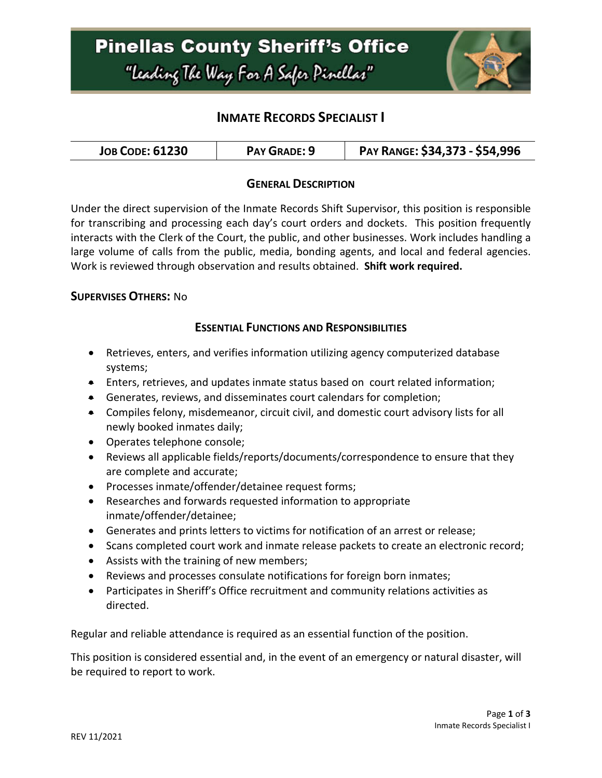

## **INMATE RECORDS SPECIALIST I**

| <b>JOB CODE: 61230</b> | PAY GRADE: 9 | PAY RANGE: \$34,373 - \$54,996 |
|------------------------|--------------|--------------------------------|
|------------------------|--------------|--------------------------------|

#### **GENERAL DESCRIPTION**

Under the direct supervision of the Inmate Records Shift Supervisor, this position is responsible for transcribing and processing each day's court orders and dockets. This position frequently interacts with the Clerk of the Court, the public, and other businesses. Work includes handling a large volume of calls from the public, media, bonding agents, and local and federal agencies. Work is reviewed through observation and results obtained. **Shift work required.**

#### **SUPERVISES OTHERS:** No

#### **ESSENTIAL FUNCTIONS AND RESPONSIBILITIES**

- Retrieves, enters, and verifies information utilizing agency computerized database systems;
- Enters, retrieves, and updates inmate status based on court related information;
- Generates, reviews, and disseminates court calendars for completion;
- Compiles felony, misdemeanor, circuit civil, and domestic court advisory lists for all newly booked inmates daily;
- Operates telephone console;
- Reviews all applicable fields/reports/documents/correspondence to ensure that they are complete and accurate;
- Processes inmate/offender/detainee request forms;
- Researches and forwards requested information to appropriate inmate/offender/detainee;
- Generates and prints letters to victims for notification of an arrest or release;
- Scans completed court work and inmate release packets to create an electronic record;
- Assists with the training of new members;
- Reviews and processes consulate notifications for foreign born inmates;
- Participates in Sheriff's Office recruitment and community relations activities as directed.

Regular and reliable attendance is required as an essential function of the position.

This position is considered essential and, in the event of an emergency or natural disaster, will be required to report to work.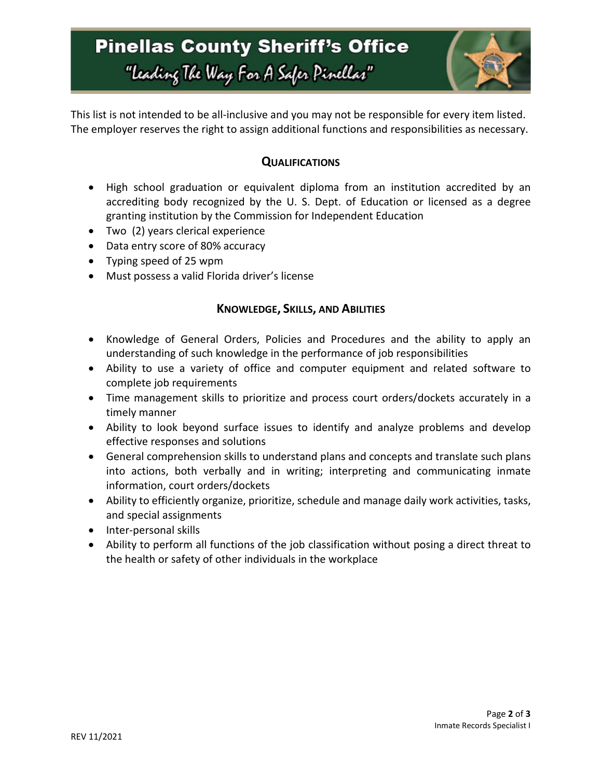

This list is not intended to be all-inclusive and you may not be responsible for every item listed. The employer reserves the right to assign additional functions and responsibilities as necessary.

### **QUALIFICATIONS**

- High school graduation or equivalent diploma from an institution accredited by an accrediting body recognized by the U. S. Dept. of Education or licensed as a degree granting institution by the Commission for Independent Education
- Two (2) years clerical experience
- Data entry score of 80% accuracy
- Typing speed of 25 wpm
- Must possess a valid Florida driver's license

#### **KNOWLEDGE, SKILLS, AND ABILITIES**

- Knowledge of General Orders, Policies and Procedures and the ability to apply an understanding of such knowledge in the performance of job responsibilities
- Ability to use a variety of office and computer equipment and related software to complete job requirements
- Time management skills to prioritize and process court orders/dockets accurately in a timely manner
- Ability to look beyond surface issues to identify and analyze problems and develop effective responses and solutions
- General comprehension skills to understand plans and concepts and translate such plans into actions, both verbally and in writing; interpreting and communicating inmate information, court orders/dockets
- Ability to efficiently organize, prioritize, schedule and manage daily work activities, tasks, and special assignments
- Inter-personal skills
- Ability to perform all functions of the job classification without posing a direct threat to the health or safety of other individuals in the workplace